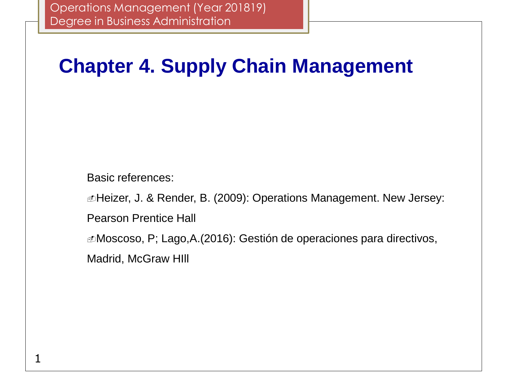# **Chapter 4. Supply Chain Management**

Basic references:

Heizer, J. & Render, B. (2009): Operations Management. New Jersey:

Pearson Prentice Hall

Moscoso, P; Lago,A.(2016): Gestión de operaciones para directivos,

Madrid, McGraw HIll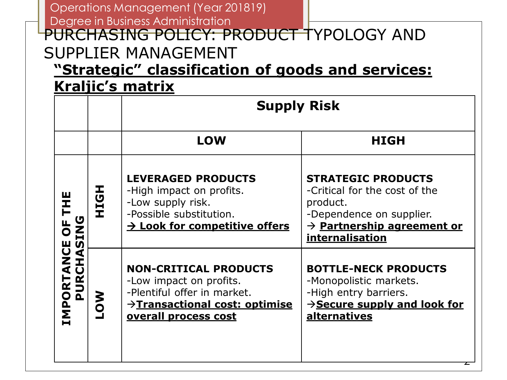Operations Management (Year 201819) Degree in Business Administration PURCHASING POLICY: PRODUCT TYPOLOGY AND SUPPLIER MANAGEMENT

**"Strategic" classification of goods and services: Kraljic's matrix**

|                                                                           |      | <b>Supply Risk</b>                                                                                                                                 |                                                                                                                                                                 |
|---------------------------------------------------------------------------|------|----------------------------------------------------------------------------------------------------------------------------------------------------|-----------------------------------------------------------------------------------------------------------------------------------------------------------------|
|                                                                           |      | <b>LOW</b>                                                                                                                                         | <b>HIGH</b>                                                                                                                                                     |
| ASING<br>Щ<br>こ<br>こ<br>PUR<br>$\overline{\mathbf{R}}$<br><b>NPO</b><br>Ē | HOIH | <b>LEVERAGED PRODUCTS</b><br>-High impact on profits.<br>-Low supply risk.<br>-Possible substitution.<br>$\rightarrow$ Look for competitive offers | <b>STRATEGIC PRODUCTS</b><br>-Critical for the cost of the<br>product.<br>-Dependence on supplier.<br>$\rightarrow$ Partnership agreement or<br>internalisation |
|                                                                           | NO-  | <b>NON-CRITICAL PRODUCTS</b><br>-Low impact on profits.<br>-Plentiful offer in market.<br>→Transactional cost: optimise<br>overall process cost    | <b>BOTTLE-NECK PRODUCTS</b><br>-Monopolistic markets.<br>-High entry barriers.<br>$\rightarrow$ Secure supply and look for<br>alternatives                      |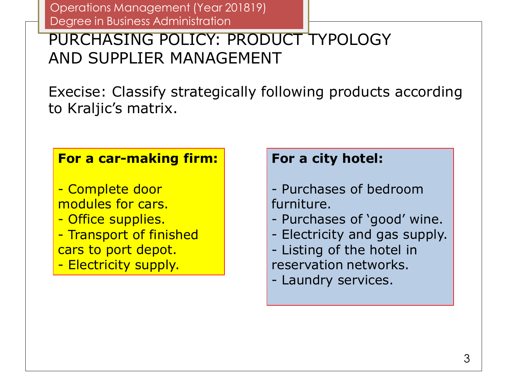Operations Management (Year 201819) Degree in Business Administration

# PURCHASING POLICY: PRODUCT TYPOLOGY AND SUPPLIER MANAGEMENT

Execise: Classify strategically following products according to Kraljic's matrix.

#### **For a car-making firm:**

- Complete door modules for cars.
- Office supplies.
- Transport of finished cars to port depot.
- Electricity supply.

### **For a city hotel:**

- on de la comunicación de la comunicación de la comunicación de la comunicación de la comunicación de la comunica<br>Del comunicación de la comunicación de la comunicación de la comunicación de la comunicación de la comunicaci - Purchases of bedroom furniture.
- Purchases of 'good' wine.
- Electricity and gas supply.
- Listing of the hotel in reservation networks.
- Laundry services.

Introducción a la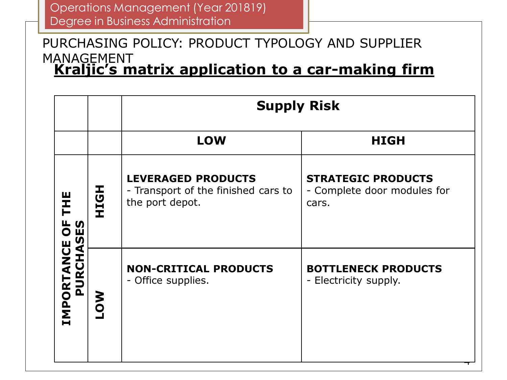#### **Kraljic's matrix application to a car-making firm**  PURCHASING POLICY: PRODUCT TYPOLOGY AND SUPPLIER MANAGEMENT

|                                                          |      | <b>Supply Risk</b>                                                                  |                                                                   |
|----------------------------------------------------------|------|-------------------------------------------------------------------------------------|-------------------------------------------------------------------|
|                                                          |      | <b>LOW</b>                                                                          | <b>HIGH</b>                                                       |
| H<br>H<br>H<br><b>IASES</b><br>玉<br>PUR<br><b>IMPORT</b> | HOIH | <b>LEVERAGED PRODUCTS</b><br>- Transport of the finished cars to<br>the port depot. | <b>STRATEGIC PRODUCTS</b><br>- Complete door modules for<br>cars. |
|                                                          | NOT  | <b>NON-CRITICAL PRODUCTS</b><br>- Office supplies.                                  | <b>BOTTLENECK PRODUCTS</b><br>- Electricity supply.               |